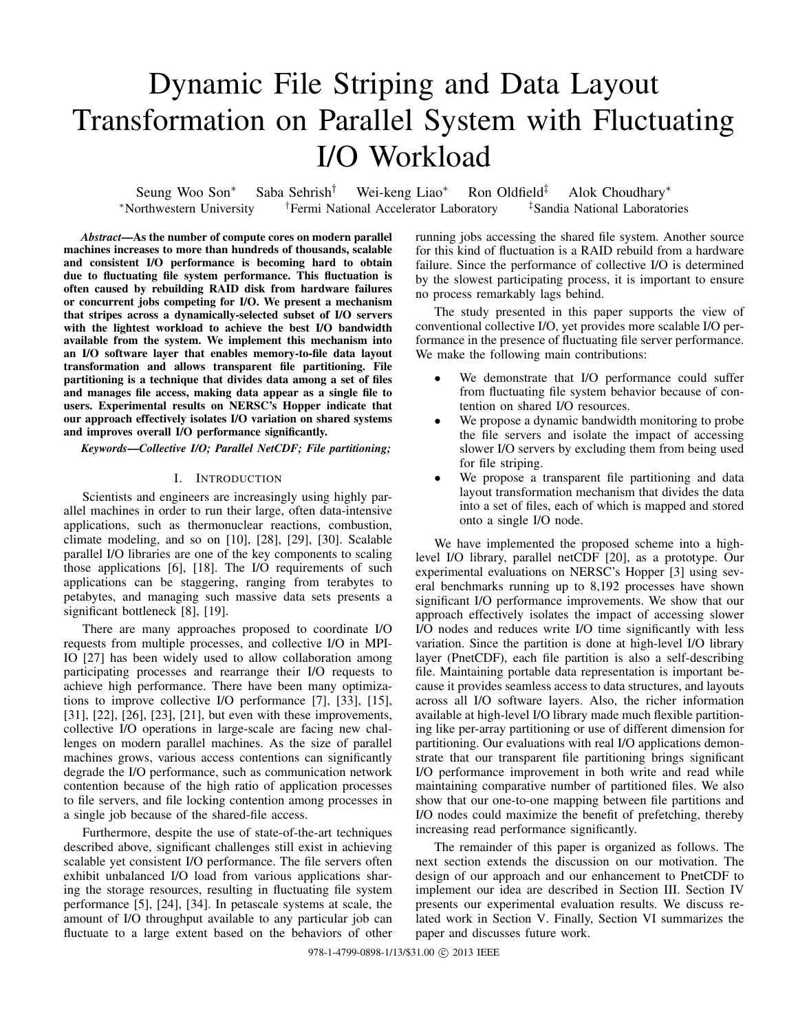# Dynamic File Striping and Data Layout Transformation on Parallel System with Fluctuating I/O Workload

Seung Woo Son<sup>∗</sup> Saba Sehrish† Wei-keng Liao<sup>∗</sup> Ron Oldfield‡ Alok Choudhary<sup>∗</sup> <sup>∗</sup>Northwestern University †Fermi National Accelerator Laboratory ‡Sandia National Laboratories

*Abstract*—As the number of compute cores on modern parallel machines increases to more than hundreds of thousands, scalable and consistent I/O performance is becoming hard to obtain due to fluctuating file system performance. This fluctuation is often caused by rebuilding RAID disk from hardware failures or concurrent jobs competing for I/O. We present a mechanism that stripes across a dynamically-selected subset of I/O servers with the lightest workload to achieve the best I/O bandwidth available from the system. We implement this mechanism into an I/O software layer that enables memory-to-file data layout transformation and allows transparent file partitioning. File partitioning is a technique that divides data among a set of files and manages file access, making data appear as a single file to users. Experimental results on NERSC's Hopper indicate that our approach effectively isolates I/O variation on shared systems and improves overall I/O performance significantly.

## *Keywords*—*Collective I/O; Parallel NetCDF; File partitioning;*

## I. INTRODUCTION

Scientists and engineers are increasingly using highly parallel machines in order to run their large, often data-intensive applications, such as thermonuclear reactions, combustion, climate modeling, and so on [10], [28], [29], [30]. Scalable parallel I/O libraries are one of the key components to scaling those applications [6], [18]. The I/O requirements of such applications can be staggering, ranging from terabytes to petabytes, and managing such massive data sets presents a significant bottleneck [8], [19].

There are many approaches proposed to coordinate I/O requests from multiple processes, and collective I/O in MPI-IO [27] has been widely used to allow collaboration among participating processes and rearrange their I/O requests to achieve high performance. There have been many optimizations to improve collective I/O performance [7], [33], [15], [31], [22], [26], [23], [21], but even with these improvements, collective I/O operations in large-scale are facing new challenges on modern parallel machines. As the size of parallel machines grows, various access contentions can significantly degrade the I/O performance, such as communication network contention because of the high ratio of application processes to file servers, and file locking contention among processes in a single job because of the shared-file access.

Furthermore, despite the use of state-of-the-art techniques described above, significant challenges still exist in achieving scalable yet consistent I/O performance. The file servers often exhibit unbalanced I/O load from various applications sharing the storage resources, resulting in fluctuating file system performance [5], [24], [34]. In petascale systems at scale, the amount of I/O throughput available to any particular job can fluctuate to a large extent based on the behaviors of other running jobs accessing the shared file system. Another source for this kind of fluctuation is a RAID rebuild from a hardware failure. Since the performance of collective I/O is determined by the slowest participating process, it is important to ensure no process remarkably lags behind.

The study presented in this paper supports the view of conventional collective I/O, yet provides more scalable I/O performance in the presence of fluctuating file server performance. We make the following main contributions:

- We demonstrate that I/O performance could suffer from fluctuating file system behavior because of contention on shared I/O resources.
- We propose a dynamic bandwidth monitoring to probe the file servers and isolate the impact of accessing slower I/O servers by excluding them from being used for file striping.
- We propose a transparent file partitioning and data layout transformation mechanism that divides the data into a set of files, each of which is mapped and stored onto a single I/O node.

We have implemented the proposed scheme into a highlevel I/O library, parallel netCDF [20], as a prototype. Our experimental evaluations on NERSC's Hopper [3] using several benchmarks running up to 8,192 processes have shown significant I/O performance improvements. We show that our approach effectively isolates the impact of accessing slower I/O nodes and reduces write I/O time significantly with less variation. Since the partition is done at high-level I/O library layer (PnetCDF), each file partition is also a self-describing file. Maintaining portable data representation is important because it provides seamless access to data structures, and layouts across all I/O software layers. Also, the richer information available at high-level I/O library made much flexible partitioning like per-array partitioning or use of different dimension for partitioning. Our evaluations with real I/O applications demonstrate that our transparent file partitioning brings significant I/O performance improvement in both write and read while maintaining comparative number of partitioned files. We also show that our one-to-one mapping between file partitions and I/O nodes could maximize the benefit of prefetching, thereby increasing read performance significantly.

The remainder of this paper is organized as follows. The next section extends the discussion on our motivation. The design of our approach and our enhancement to PnetCDF to implement our idea are described in Section III. Section IV presents our experimental evaluation results. We discuss related work in Section V. Finally, Section VI summarizes the paper and discusses future work.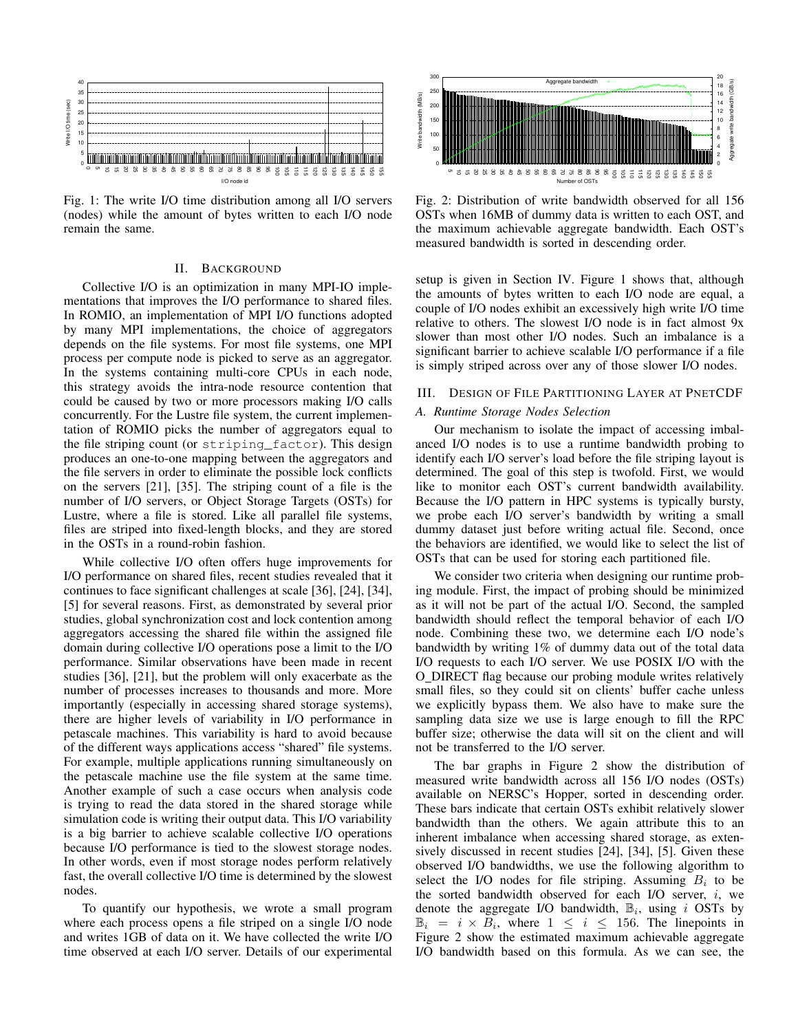

Fig. 1: The write I/O time distribution among all I/O servers (nodes) while the amount of bytes written to each I/O node remain the same.

#### II. BACKGROUND

Collective I/O is an optimization in many MPI-IO implementations that improves the I/O performance to shared files. In ROMIO, an implementation of MPI I/O functions adopted by many MPI implementations, the choice of aggregators depends on the file systems. For most file systems, one MPI process per compute node is picked to serve as an aggregator. In the systems containing multi-core CPUs in each node, this strategy avoids the intra-node resource contention that could be caused by two or more processors making I/O calls concurrently. For the Lustre file system, the current implementation of ROMIO picks the number of aggregators equal to the file striping count (or striping\_factor). This design produces an one-to-one mapping between the aggregators and the file servers in order to eliminate the possible lock conflicts on the servers [21], [35]. The striping count of a file is the number of I/O servers, or Object Storage Targets (OSTs) for Lustre, where a file is stored. Like all parallel file systems, files are striped into fixed-length blocks, and they are stored in the OSTs in a round-robin fashion.

While collective I/O often offers huge improvements for I/O performance on shared files, recent studies revealed that it continues to face significant challenges at scale [36], [24], [34], [5] for several reasons. First, as demonstrated by several prior studies, global synchronization cost and lock contention among aggregators accessing the shared file within the assigned file domain during collective I/O operations pose a limit to the I/O performance. Similar observations have been made in recent studies [36], [21], but the problem will only exacerbate as the number of processes increases to thousands and more. More importantly (especially in accessing shared storage systems), there are higher levels of variability in I/O performance in petascale machines. This variability is hard to avoid because of the different ways applications access "shared" file systems. For example, multiple applications running simultaneously on the petascale machine use the file system at the same time. Another example of such a case occurs when analysis code is trying to read the data stored in the shared storage while simulation code is writing their output data. This I/O variability is a big barrier to achieve scalable collective I/O operations because I/O performance is tied to the slowest storage nodes. In other words, even if most storage nodes perform relatively fast, the overall collective I/O time is determined by the slowest nodes. Fig. 1. The window is a server of our extends of our extent in the server. The method is a server of our extends of  $\frac{1}{2}$  and  $\frac{1}{2}$  and  $\frac{1}{2}$  and  $\frac{1}{2}$  and  $\frac{1}{2}$  and  $\frac{1}{2}$  and  $\frac{1}{2}$  and  $\frac{1}{2$ 

To quantify our hypothesis, we wrote a small program where each process opens a file striped on a single I/O node and writes 1GB of data on it. We have collected the write I/O



Fig. 2: Distribution of write bandwidth observed for all 156 OSTs when 16MB of dummy data is written to each OST, and the maximum achievable aggregate bandwidth. Each OST's measured bandwidth is sorted in descending order.

setup is given in Section IV. Figure 1 shows that, although the amounts of bytes written to each I/O node are equal, a couple of I/O nodes exhibit an excessively high write I/O time relative to others. The slowest I/O node is in fact almost 9x slower than most other I/O nodes. Such an imbalance is a significant barrier to achieve scalable I/O performance if a file is simply striped across over any of those slower I/O nodes.

## III. DESIGN OF FILE PARTITIONING LAYER AT PNETCDF

## *A. Runtime Storage Nodes Selection*

Our mechanism to isolate the impact of accessing imbalanced I/O nodes is to use a runtime bandwidth probing to identify each I/O server's load before the file striping layout is determined. The goal of this step is twofold. First, we would like to monitor each OST's current bandwidth availability. Because the I/O pattern in HPC systems is typically bursty, we probe each I/O server's bandwidth by writing a small dummy dataset just before writing actual file. Second, once the behaviors are identified, we would like to select the list of OSTs that can be used for storing each partitioned file.

We consider two criteria when designing our runtime probing module. First, the impact of probing should be minimized as it will not be part of the actual I/O. Second, the sampled bandwidth should reflect the temporal behavior of each I/O node. Combining these two, we determine each I/O node's bandwidth by writing 1% of dummy data out of the total data I/O requests to each I/O server. We use POSIX I/O with the O DIRECT flag because our probing module writes relatively small files, so they could sit on clients' buffer cache unless we explicitly bypass them. We also have to make sure the sampling data size we use is large enough to fill the RPC buffer size; otherwise the data will sit on the client and will not be transferred to the I/O server.

The bar graphs in Figure 2 show the distribution of measured write bandwidth across all 156 I/O nodes (OSTs) available on NERSC's Hopper, sorted in descending order. These bars indicate that certain OSTs exhibit relatively slower bandwidth than the others. We again attribute this to an inherent imbalance when accessing shared storage, as extensively discussed in recent studies [24], [34], [5]. Given these observed I/O bandwidths, we use the following algorithm to select the I/O nodes for file striping. Assuming  $B_i$  to be the sorted bandwidth observed for each I/O server,  $i$ , we denote the aggregate I/O bandwidth,  $\mathbb{B}_i$ , using i OSTs by  $\mathbb{B}_i = i \times \overline{\mathcal{B}_i}$ , where  $1 \leq i \leq 156$ . The linepoints in Figure 2 show the estimated maximum achievable aggregate I/O bandwidth based on this formula. As we can see, the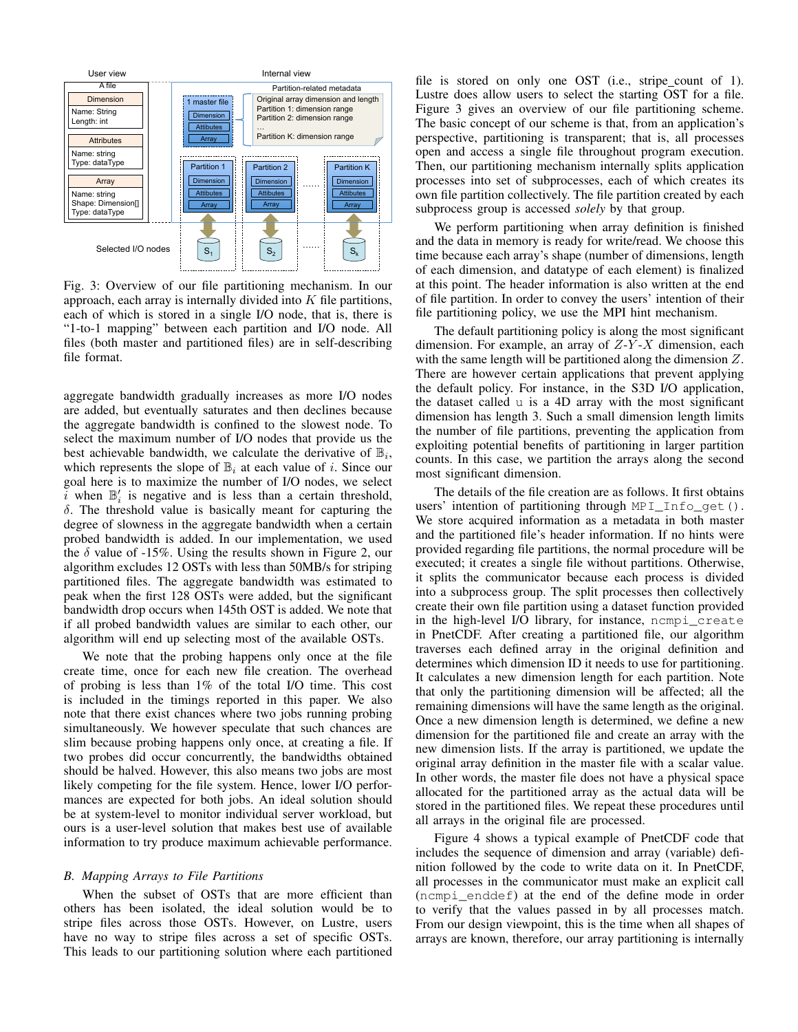

Fig. 3: Overview of our file partitioning mechanism. In our approach, each array is internally divided into  $K$  file partitions, each of which is stored in a single I/O node, that is, there is "1-to-1 mapping" between each partition and I/O node. All files (both master and partitioned files) are in self-describing file format.

aggregate bandwidth gradually increases as more I/O nodes are added, but eventually saturates and then declines because the aggregate bandwidth is confined to the slowest node. To select the maximum number of I/O nodes that provide us the best achievable bandwidth, we calculate the derivative of  $\mathbb{B}_i$ , which represents the slope of  $\mathbb{B}_i$  at each value of i. Since our goal here is to maximize the number of I/O nodes, we select i when  $\mathbb{B}'_i$  is negative and is less than a certain threshold,  $\delta$ . The threshold value is basically meant for capturing the degree of slowness in the aggregate bandwidth when a certain probed bandwidth is added. In our implementation, we used the  $\delta$  value of -15%. Using the results shown in Figure 2, our algorithm excludes 12 OSTs with less than 50MB/s for striping partitioned files. The aggregate bandwidth was estimated to peak when the first 128 OSTs were added, but the significant bandwidth drop occurs when 145th OST is added. We note that if all probed bandwidth values are similar to each other, our algorithm will end up selecting most of the available OSTs.

We note that the probing happens only once at the file create time, once for each new file creation. The overhead of probing is less than 1% of the total I/O time. This cost is included in the timings reported in this paper. We also note that there exist chances where two jobs running probing simultaneously. We however speculate that such chances are slim because probing happens only once, at creating a file. If two probes did occur concurrently, the bandwidths obtained should be halved. However, this also means two jobs are most likely competing for the file system. Hence, lower I/O performances are expected for both jobs. An ideal solution should be at system-level to monitor individual server workload, but ours is a user-level solution that makes best use of available information to try produce maximum achievable performance.

## *B. Mapping Arrays to File Partitions*

When the subset of OSTs that are more efficient than others has been isolated, the ideal solution would be to stripe files across those OSTs. However, on Lustre, users have no way to stripe files across a set of specific OSTs. This leads to our partitioning solution where each partitioned file is stored on only one OST (i.e., stripe count of 1). Lustre does allow users to select the starting OST for a file. Figure 3 gives an overview of our file partitioning scheme. The basic concept of our scheme is that, from an application's perspective, partitioning is transparent; that is, all processes open and access a single file throughout program execution. Then, our partitioning mechanism internally splits application processes into set of subprocesses, each of which creates its own file partition collectively. The file partition created by each subprocess group is accessed *solely* by that group.

We perform partitioning when array definition is finished and the data in memory is ready for write/read. We choose this time because each array's shape (number of dimensions, length of each dimension, and datatype of each element) is finalized at this point. The header information is also written at the end of file partition. In order to convey the users' intention of their file partitioning policy, we use the MPI hint mechanism.

The default partitioning policy is along the most significant dimension. For example, an array of  $Z-Y-X$  dimension, each with the same length will be partitioned along the dimension Z. There are however certain applications that prevent applying the default policy. For instance, in the S3D I/O application, the dataset called u is a 4D array with the most significant dimension has length 3. Such a small dimension length limits the number of file partitions, preventing the application from exploiting potential benefits of partitioning in larger partition counts. In this case, we partition the arrays along the second most significant dimension.

The details of the file creation are as follows. It first obtains users' intention of partitioning through MPI\_Info\_get(). We store acquired information as a metadata in both master and the partitioned file's header information. If no hints were provided regarding file partitions, the normal procedure will be executed; it creates a single file without partitions. Otherwise, it splits the communicator because each process is divided into a subprocess group. The split processes then collectively create their own file partition using a dataset function provided in the high-level I/O library, for instance, ncmpi\_create in PnetCDF. After creating a partitioned file, our algorithm traverses each defined array in the original definition and determines which dimension ID it needs to use for partitioning. It calculates a new dimension length for each partition. Note that only the partitioning dimension will be affected; all the remaining dimensions will have the same length as the original. Once a new dimension length is determined, we define a new dimension for the partitioned file and create an array with the new dimension lists. If the array is partitioned, we update the original array definition in the master file with a scalar value. In other words, the master file does not have a physical space allocated for the partitioned array as the actual data will be stored in the partitioned files. We repeat these procedures until all arrays in the original file are processed.

Figure 4 shows a typical example of PnetCDF code that includes the sequence of dimension and array (variable) definition followed by the code to write data on it. In PnetCDF, all processes in the communicator must make an explicit call (ncmpi\_enddef) at the end of the define mode in order to verify that the values passed in by all processes match. From our design viewpoint, this is the time when all shapes of arrays are known, therefore, our array partitioning is internally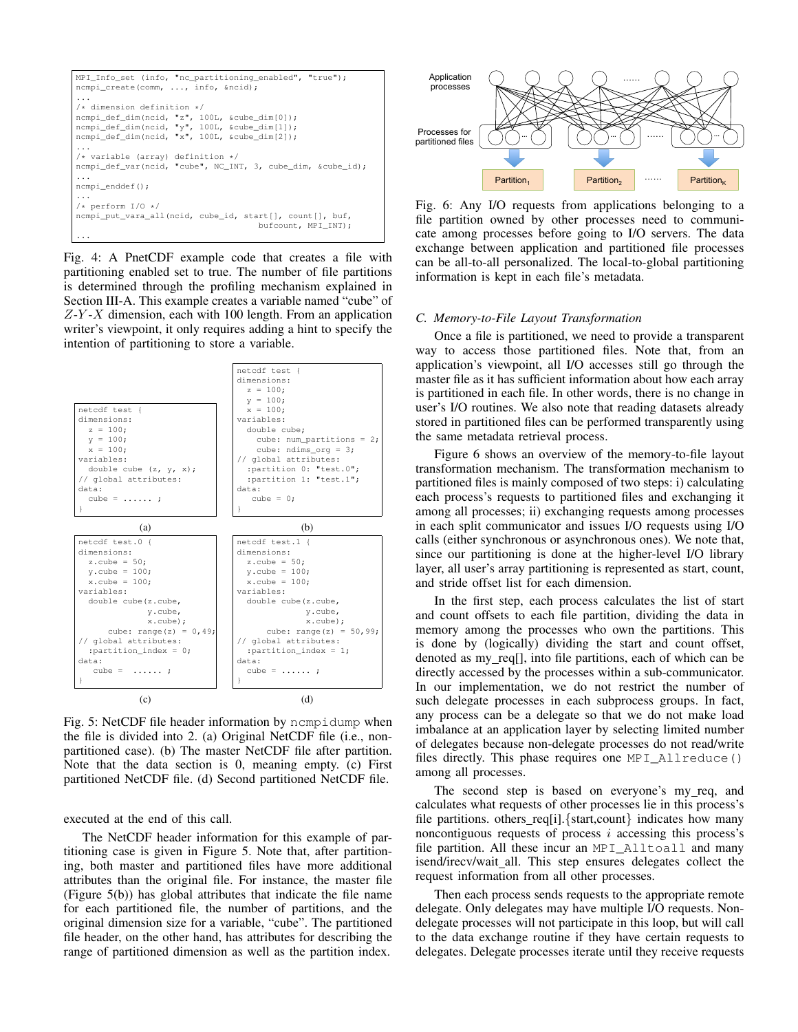```
MPI_Info_set (info, "nc_partitioning_enabled", "true");
ncmpi_create(comm, ..., info, &ncid);
...
/* dimension definition */
ncmpi_def_dim(ncid, "z", 100L, &cube_dim[0]);
ncmpi_def_dim(ncid, "y", 100L, &cube_dim[1]);
ncmpi_def_dim(ncid, "x", 100L, &cube_dim[2]);
...
/* variable (array) definition */
ncmpi_def_var(ncid, "cube", NC_INT, 3, cube_dim, &cube_id);
...
ncmpi_enddef();
...
/* perform I/O */
ncmpi_put_vara_all(ncid, cube_id, start[], count[], buf,
                                      bufcount, MPI_INT);
...
```
Fig. 4: A PnetCDF example code that creates a file with partitioning enabled set to true. The number of file partitions is determined through the profiling mechanism explained in Section III-A. This example creates a variable named "cube" of  $Z-Y-X$  dimension, each with 100 length. From an application writer's viewpoint, it only requires adding a hint to specify the intention of partitioning to store a variable.



Fig. 5: NetCDF file header information by ncmpidump when the file is divided into 2. (a) Original NetCDF file (i.e., nonpartitioned case). (b) The master NetCDF file after partition. Note that the data section is 0, meaning empty. (c) First partitioned NetCDF file. (d) Second partitioned NetCDF file.

executed at the end of this call.

The NetCDF header information for this example of partitioning case is given in Figure 5. Note that, after partitioning, both master and partitioned files have more additional attributes than the original file. For instance, the master file (Figure 5(b)) has global attributes that indicate the file name for each partitioned file, the number of partitions, and the original dimension size for a variable, "cube". The partitioned file header, on the other hand, has attributes for describing the range of partitioned dimension as well as the partition index.



Fig. 6: Any I/O requests from applications belonging to a file partition owned by other processes need to communicate among processes before going to I/O servers. The data exchange between application and partitioned file processes can be all-to-all personalized. The local-to-global partitioning information is kept in each file's metadata.

#### *C. Memory-to-File Layout Transformation*

Once a file is partitioned, we need to provide a transparent way to access those partitioned files. Note that, from an application's viewpoint, all I/O accesses still go through the master file as it has sufficient information about how each array is partitioned in each file. In other words, there is no change in user's I/O routines. We also note that reading datasets already stored in partitioned files can be performed transparently using the same metadata retrieval process.

Figure 6 shows an overview of the memory-to-file layout transformation mechanism. The transformation mechanism to partitioned files is mainly composed of two steps: i) calculating each process's requests to partitioned files and exchanging it among all processes; ii) exchanging requests among processes in each split communicator and issues I/O requests using I/O calls (either synchronous or asynchronous ones). We note that, since our partitioning is done at the higher-level I/O library layer, all user's array partitioning is represented as start, count, and stride offset list for each dimension.

In the first step, each process calculates the list of start and count offsets to each file partition, dividing the data in memory among the processes who own the partitions. This is done by (logically) dividing the start and count offset, denoted as my\_req[], into file partitions, each of which can be directly accessed by the processes within a sub-communicator. In our implementation, we do not restrict the number of such delegate processes in each subprocess groups. In fact, any process can be a delegate so that we do not make load imbalance at an application layer by selecting limited number of delegates because non-delegate processes do not read/write files directly. This phase requires one MPI\_Allreduce() among all processes.

The second step is based on everyone's my req, and calculates what requests of other processes lie in this process's file partitions. others req[i].  $\{start, count\}$  indicates how many noncontiguous requests of process  $i$  accessing this process's file partition. All these incur an MPI\_Alltoall and many isend/irecv/wait\_all. This step ensures delegates collect the request information from all other processes.

Then each process sends requests to the appropriate remote delegate. Only delegates may have multiple I/O requests. Nondelegate processes will not participate in this loop, but will call to the data exchange routine if they have certain requests to delegates. Delegate processes iterate until they receive requests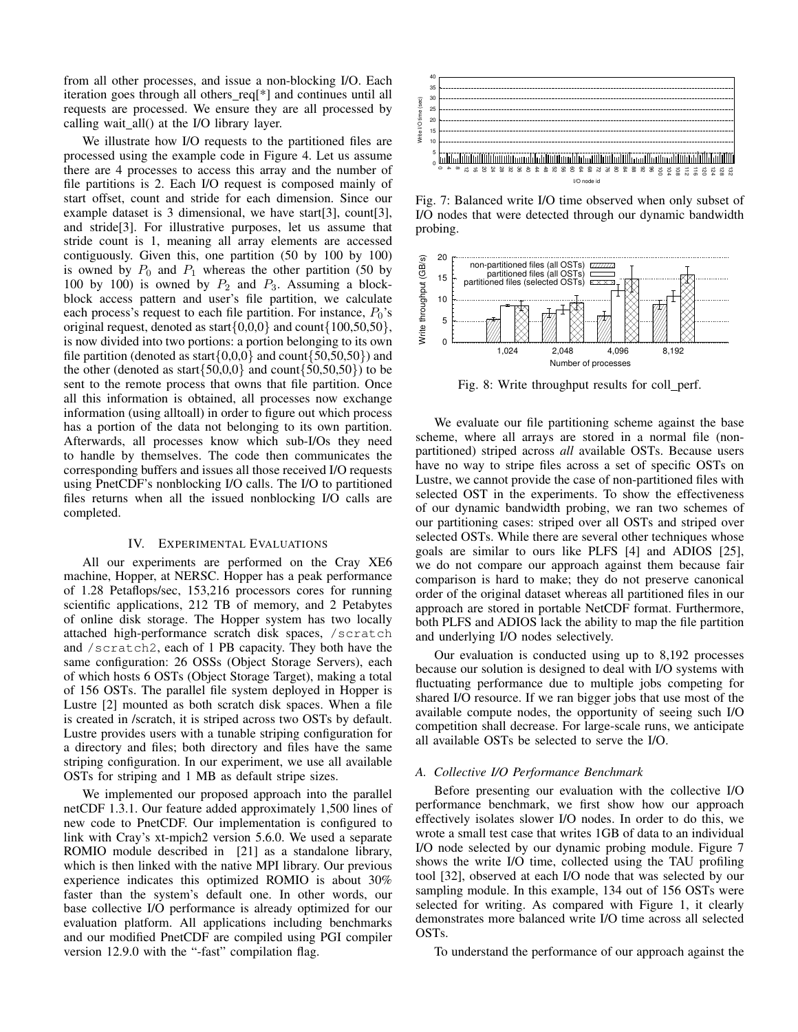from all other processes, and issue a non-blocking I/O. Each iteration goes through all others\_req[\*] and continues until all requests are processed. We ensure they are all processed by calling wait all() at the I/O library layer.

We illustrate how I/O requests to the partitioned files are processed using the example code in Figure 4. Let us assume there are 4 processes to access this array and the number of file partitions is 2. Each I/O request is composed mainly of start offset, count and stride for each dimension. Since our example dataset is 3 dimensional, we have start[3], count[3], and stride[3]. For illustrative purposes, let us assume that stride count is 1, meaning all array elements are accessed contiguously. Given this, one partition (50 by 100 by 100) is owned by  $P_0$  and  $P_1$  whereas the other partition (50 by 100 by 100) is owned by  $P_2$  and  $P_3$ . Assuming a blockblock access pattern and user's file partition, we calculate each process's request to each file partition. For instance,  $P_0$ 's original request, denoted as start $\{0,0,0\}$  and count $\{100,50,50\}$ , is now divided into two portions: a portion belonging to its own file partition (denoted as start $\{0,0,0\}$  and count $\{50,50,50\}$ ) and the other (denoted as start $\{50,0,0\}$  and count $\{50,50,50\}$ ) to be sent to the remote process that owns that file partition. Once all this information is obtained, all processes now exchange information (using alltoall) in order to figure out which process has a portion of the data not belonging to its own partition. Afterwards, all processes know which sub-I/Os they need to handle by themselves. The code then communicates the corresponding buffers and issues all those received I/O requests using PnetCDF's nonblocking I/O calls. The I/O to partitioned files returns when all the issued nonblocking I/O calls are completed.

#### IV. EXPERIMENTAL EVALUATIONS

All our experiments are performed on the Cray XE6 machine, Hopper, at NERSC. Hopper has a peak performance of 1.28 Petaflops/sec, 153,216 processors cores for running scientific applications, 212 TB of memory, and 2 Petabytes of online disk storage. The Hopper system has two locally attached high-performance scratch disk spaces, /scratch and /scratch2, each of 1 PB capacity. They both have the same configuration: 26 OSSs (Object Storage Servers), each of which hosts 6 OSTs (Object Storage Target), making a total of 156 OSTs. The parallel file system deployed in Hopper is Lustre [2] mounted as both scratch disk spaces. When a file is created in /scratch, it is striped across two OSTs by default. Lustre provides users with a tunable striping configuration for a directory and files; both directory and files have the same striping configuration. In our experiment, we use all available OSTs for striping and 1 MB as default stripe sizes.

We implemented our proposed approach into the parallel netCDF 1.3.1. Our feature added approximately 1,500 lines of new code to PnetCDF. Our implementation is configured to link with Cray's xt-mpich2 version 5.6.0. We used a separate ROMIO module described in [21] as a standalone library, which is then linked with the native MPI library. Our previous experience indicates this optimized ROMIO is about 30% faster than the system's default one. In other words, our base collective I/O performance is already optimized for our evaluation platform. All applications including benchmarks and our modified PnetCDF are compiled using PGI compiler version 12.9.0 with the "-fast" compilation flag.



Fig. 7: Balanced write I/O time observed when only subset of I/O nodes that were detected through our dynamic bandwidth probing.



Fig. 8: Write throughput results for coll perf.

We evaluate our file partitioning scheme against the base scheme, where all arrays are stored in a normal file (nonpartitioned) striped across *all* available OSTs. Because users have no way to stripe files across a set of specific OSTs on Lustre, we cannot provide the case of non-partitioned files with selected OST in the experiments. To show the effectiveness of our dynamic bandwidth probing, we ran two schemes of our partitioning cases: striped over all OSTs and striped over selected OSTs. While there are several other techniques whose goals are similar to ours like PLFS [4] and ADIOS [25], we do not compare our approach against them because fair comparison is hard to make; they do not preserve canonical order of the original dataset whereas all partitioned files in our approach are stored in portable NetCDF format. Furthermore, both PLFS and ADIOS lack the ability to map the file partition and underlying I/O nodes selectively.

Our evaluation is conducted using up to 8,192 processes because our solution is designed to deal with I/O systems with fluctuating performance due to multiple jobs competing for shared I/O resource. If we ran bigger jobs that use most of the available compute nodes, the opportunity of seeing such I/O competition shall decrease. For large-scale runs, we anticipate all available OSTs be selected to serve the I/O.

#### *A. Collective I/O Performance Benchmark*

Before presenting our evaluation with the collective I/O performance benchmark, we first show how our approach effectively isolates slower I/O nodes. In order to do this, we wrote a small test case that writes 1GB of data to an individual I/O node selected by our dynamic probing module. Figure 7 shows the write I/O time, collected using the TAU profiling tool [32], observed at each I/O node that was selected by our sampling module. In this example, 134 out of 156 OSTs were selected for writing. As compared with Figure 1, it clearly demonstrates more balanced write I/O time across all selected OSTs.

To understand the performance of our approach against the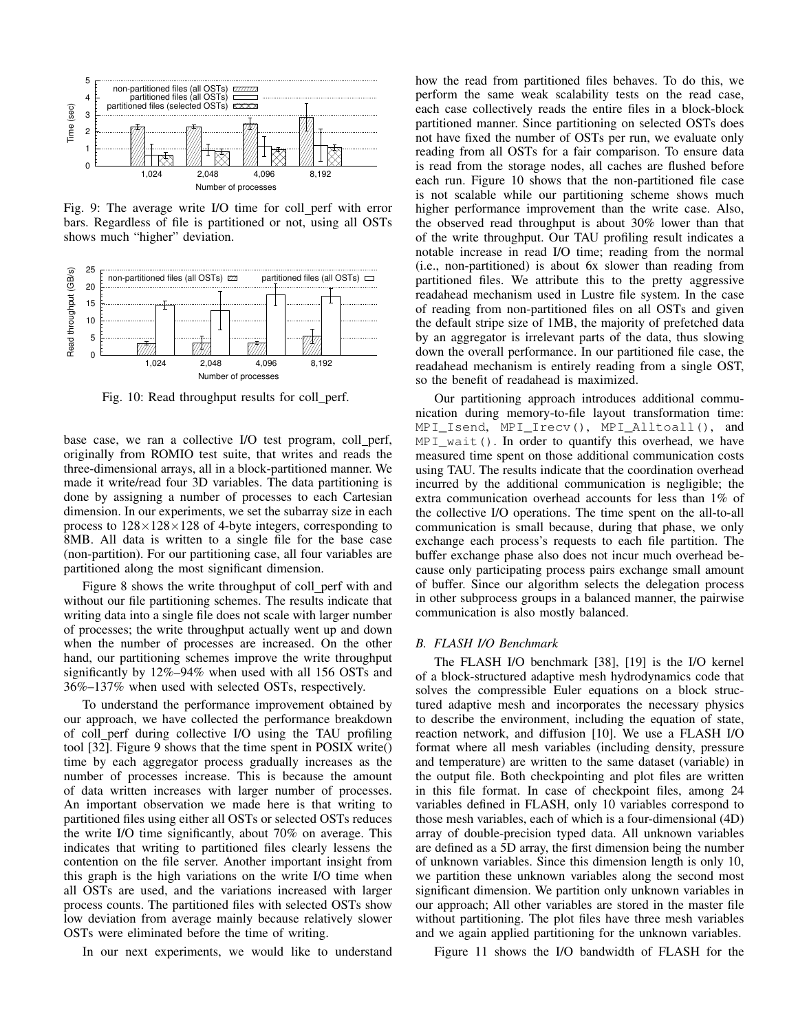

Fig. 9: The average write I/O time for coll perf with error bars. Regardless of file is partitioned or not, using all OSTs shows much "higher" deviation.



Fig. 10: Read throughput results for coll\_perf.

base case, we ran a collective I/O test program, coll perf, originally from ROMIO test suite, that writes and reads the three-dimensional arrays, all in a block-partitioned manner. We made it write/read four 3D variables. The data partitioning is done by assigning a number of processes to each Cartesian dimension. In our experiments, we set the subarray size in each process to  $128\times128\times128$  of 4-byte integers, corresponding to 8MB. All data is written to a single file for the base case (non-partition). For our partitioning case, all four variables are partitioned along the most significant dimension.

Figure 8 shows the write throughput of coll perf with and without our file partitioning schemes. The results indicate that writing data into a single file does not scale with larger number of processes; the write throughput actually went up and down when the number of processes are increased. On the other hand, our partitioning schemes improve the write throughput significantly by 12%–94% when used with all 156 OSTs and 36%–137% when used with selected OSTs, respectively.

To understand the performance improvement obtained by our approach, we have collected the performance breakdown of coll perf during collective I/O using the TAU profiling tool [32]. Figure 9 shows that the time spent in POSIX write() time by each aggregator process gradually increases as the number of processes increase. This is because the amount of data written increases with larger number of processes. An important observation we made here is that writing to partitioned files using either all OSTs or selected OSTs reduces the write I/O time significantly, about 70% on average. This indicates that writing to partitioned files clearly lessens the contention on the file server. Another important insight from this graph is the high variations on the write I/O time when all OSTs are used, and the variations increased with larger process counts. The partitioned files with selected OSTs show low deviation from average mainly because relatively slower OSTs were eliminated before the time of writing.

In our next experiments, we would like to understand

how the read from partitioned files behaves. To do this, we perform the same weak scalability tests on the read case, each case collectively reads the entire files in a block-block partitioned manner. Since partitioning on selected OSTs does not have fixed the number of OSTs per run, we evaluate only reading from all OSTs for a fair comparison. To ensure data is read from the storage nodes, all caches are flushed before each run. Figure 10 shows that the non-partitioned file case is not scalable while our partitioning scheme shows much higher performance improvement than the write case. Also, the observed read throughput is about 30% lower than that of the write throughput. Our TAU profiling result indicates a notable increase in read I/O time; reading from the normal (i.e., non-partitioned) is about 6x slower than reading from partitioned files. We attribute this to the pretty aggressive readahead mechanism used in Lustre file system. In the case of reading from non-partitioned files on all OSTs and given the default stripe size of 1MB, the majority of prefetched data by an aggregator is irrelevant parts of the data, thus slowing down the overall performance. In our partitioned file case, the readahead mechanism is entirely reading from a single OST, so the benefit of readahead is maximized.

Our partitioning approach introduces additional communication during memory-to-file layout transformation time: MPI\_Isend, MPI\_Irecv(), MPI\_Alltoall(), and MPI\_wait(). In order to quantify this overhead, we have measured time spent on those additional communication costs using TAU. The results indicate that the coordination overhead incurred by the additional communication is negligible; the extra communication overhead accounts for less than 1% of the collective I/O operations. The time spent on the all-to-all communication is small because, during that phase, we only exchange each process's requests to each file partition. The buffer exchange phase also does not incur much overhead because only participating process pairs exchange small amount of buffer. Since our algorithm selects the delegation process in other subprocess groups in a balanced manner, the pairwise communication is also mostly balanced.

## *B. FLASH I/O Benchmark*

The FLASH I/O benchmark [38], [19] is the I/O kernel of a block-structured adaptive mesh hydrodynamics code that solves the compressible Euler equations on a block structured adaptive mesh and incorporates the necessary physics to describe the environment, including the equation of state, reaction network, and diffusion [10]. We use a FLASH I/O format where all mesh variables (including density, pressure and temperature) are written to the same dataset (variable) in the output file. Both checkpointing and plot files are written in this file format. In case of checkpoint files, among 24 variables defined in FLASH, only 10 variables correspond to those mesh variables, each of which is a four-dimensional (4D) array of double-precision typed data. All unknown variables are defined as a 5D array, the first dimension being the number of unknown variables. Since this dimension length is only 10, we partition these unknown variables along the second most significant dimension. We partition only unknown variables in our approach; All other variables are stored in the master file without partitioning. The plot files have three mesh variables and we again applied partitioning for the unknown variables.

Figure 11 shows the I/O bandwidth of FLASH for the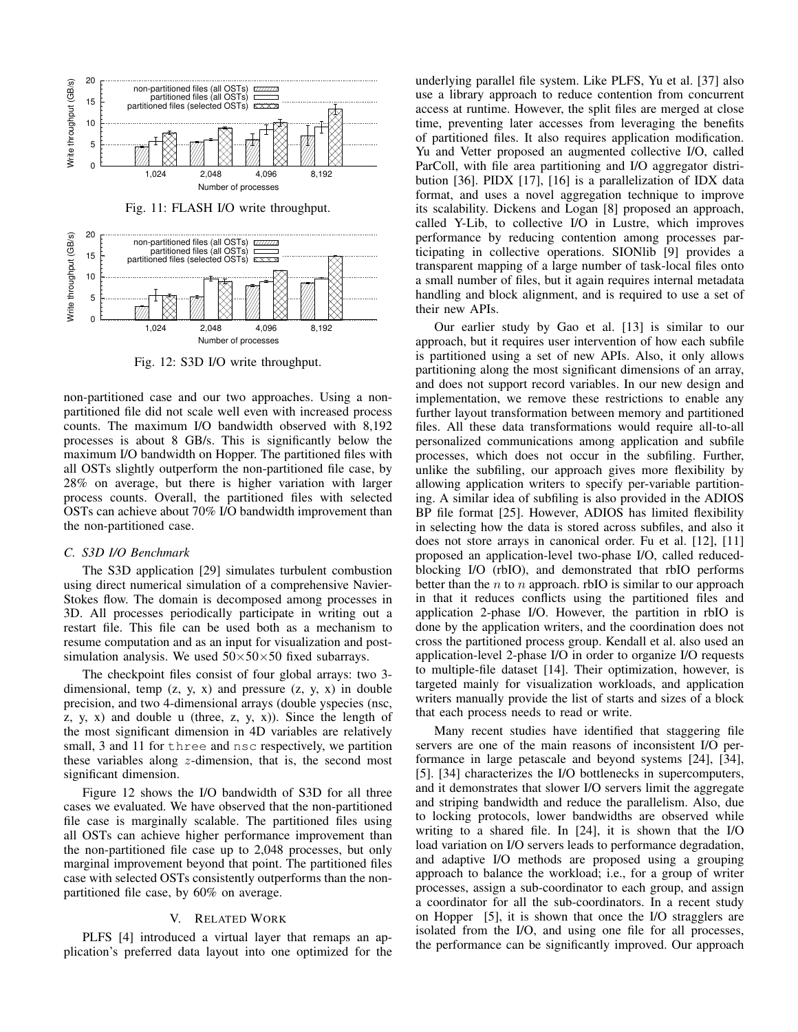

Fig. 12: S3D I/O write throughput.

non-partitioned case and our two approaches. Using a nonpartitioned file did not scale well even with increased process counts. The maximum I/O bandwidth observed with 8,192 processes is about 8 GB/s. This is significantly below the maximum I/O bandwidth on Hopper. The partitioned files with all OSTs slightly outperform the non-partitioned file case, by 28% on average, but there is higher variation with larger process counts. Overall, the partitioned files with selected OSTs can achieve about 70% I/O bandwidth improvement than the non-partitioned case.

#### *C. S3D I/O Benchmark*

The S3D application [29] simulates turbulent combustion using direct numerical simulation of a comprehensive Navier-Stokes flow. The domain is decomposed among processes in 3D. All processes periodically participate in writing out a restart file. This file can be used both as a mechanism to resume computation and as an input for visualization and postsimulation analysis. We used  $50\times50\times50$  fixed subarrays.

The checkpoint files consist of four global arrays: two 3 dimensional, temp  $(z, y, x)$  and pressure  $(z, y, x)$  in double precision, and two 4-dimensional arrays (double yspecies (nsc, z, y, x) and double u (three, z, y, x)). Since the length of the most significant dimension in 4D variables are relatively small, 3 and 11 for three and nsc respectively, we partition these variables along  $z$ -dimension, that is, the second most significant dimension.

Figure 12 shows the I/O bandwidth of S3D for all three cases we evaluated. We have observed that the non-partitioned file case is marginally scalable. The partitioned files using all OSTs can achieve higher performance improvement than the non-partitioned file case up to 2,048 processes, but only marginal improvement beyond that point. The partitioned files case with selected OSTs consistently outperforms than the nonpartitioned file case, by 60% on average.

## V. RELATED WORK

PLFS [4] introduced a virtual layer that remaps an application's preferred data layout into one optimized for the underlying parallel file system. Like PLFS, Yu et al. [37] also use a library approach to reduce contention from concurrent access at runtime. However, the split files are merged at close time, preventing later accesses from leveraging the benefits of partitioned files. It also requires application modification. Yu and Vetter proposed an augmented collective I/O, called ParColl, with file area partitioning and I/O aggregator distribution [36]. PIDX [17], [16] is a parallelization of IDX data format, and uses a novel aggregation technique to improve its scalability. Dickens and Logan [8] proposed an approach, called Y-Lib, to collective I/O in Lustre, which improves performance by reducing contention among processes participating in collective operations. SIONlib [9] provides a transparent mapping of a large number of task-local files onto a small number of files, but it again requires internal metadata handling and block alignment, and is required to use a set of their new APIs.

Our earlier study by Gao et al. [13] is similar to our approach, but it requires user intervention of how each subfile is partitioned using a set of new APIs. Also, it only allows partitioning along the most significant dimensions of an array, and does not support record variables. In our new design and implementation, we remove these restrictions to enable any further layout transformation between memory and partitioned files. All these data transformations would require all-to-all personalized communications among application and subfile processes, which does not occur in the subfiling. Further, unlike the subfiling, our approach gives more flexibility by allowing application writers to specify per-variable partitioning. A similar idea of subfiling is also provided in the ADIOS BP file format [25]. However, ADIOS has limited flexibility in selecting how the data is stored across subfiles, and also it does not store arrays in canonical order. Fu et al. [12], [11] proposed an application-level two-phase I/O, called reducedblocking I/O (rbIO), and demonstrated that rbIO performs better than the  $n$  to  $n$  approach. rbIO is similar to our approach in that it reduces conflicts using the partitioned files and application 2-phase I/O. However, the partition in rbIO is done by the application writers, and the coordination does not cross the partitioned process group. Kendall et al. also used an application-level 2-phase I/O in order to organize I/O requests to multiple-file dataset [14]. Their optimization, however, is targeted mainly for visualization workloads, and application writers manually provide the list of starts and sizes of a block that each process needs to read or write.

Many recent studies have identified that staggering file servers are one of the main reasons of inconsistent I/O performance in large petascale and beyond systems [24], [34], [5]. [34] characterizes the I/O bottlenecks in supercomputers, and it demonstrates that slower I/O servers limit the aggregate and striping bandwidth and reduce the parallelism. Also, due to locking protocols, lower bandwidths are observed while writing to a shared file. In [24], it is shown that the I/O load variation on I/O servers leads to performance degradation, and adaptive I/O methods are proposed using a grouping approach to balance the workload; i.e., for a group of writer processes, assign a sub-coordinator to each group, and assign a coordinator for all the sub-coordinators. In a recent study on Hopper [5], it is shown that once the I/O stragglers are isolated from the I/O, and using one file for all processes, the performance can be significantly improved. Our approach